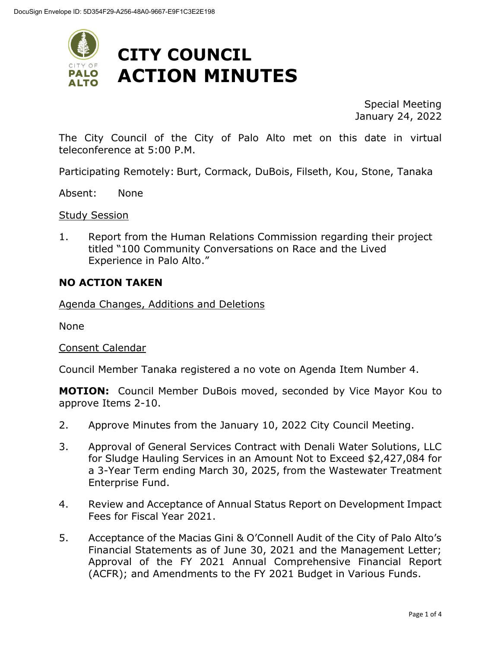

Special Meeting January 24, 2022

The City Council of the City of Palo Alto met on this date in virtual teleconference at 5:00 P.M.

Participating Remotely: Burt, Cormack, DuBois, Filseth, Kou, Stone, Tanaka

Absent: None

**Study Session** 

1. Report from the Human Relations Commission regarding their project titled "100 Community Conversations on Race and the Lived Experience in Palo Alto."

### **NO ACTION TAKEN**

Agenda Changes, Additions and Deletions

None

### Consent Calendar

Council Member Tanaka registered a no vote on Agenda Item Number 4.

**MOTION:** Council Member DuBois moved, seconded by Vice Mayor Kou to approve Items 2-10.

- 2. Approve Minutes from the January 10, 2022 City Council Meeting.
- 3. Approval of General Services Contract with Denali Water Solutions, LLC for Sludge Hauling Services in an Amount Not to Exceed \$2,427,084 for a 3-Year Term ending March 30, 2025, from the Wastewater Treatment Enterprise Fund.
- 4. Review and Acceptance of Annual Status Report on Development Impact Fees for Fiscal Year 2021.
- 5. Acceptance of the Macias Gini & O'Connell Audit of the City of Palo Alto's Financial Statements as of June 30, 2021 and the Management Letter; Approval of the FY 2021 Annual Comprehensive Financial Report (ACFR); and Amendments to the FY 2021 Budget in Various Funds.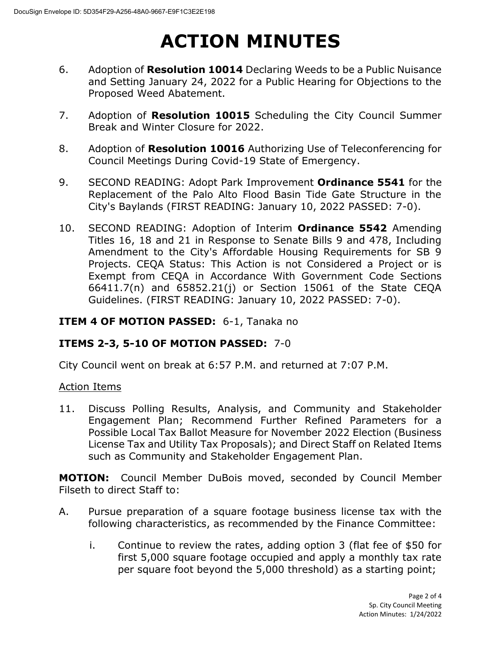# **ACTION MINUTES**

- 6. Adoption of **Resolution 10014** Declaring Weeds to be a Public Nuisance and Setting January 24, 2022 for a Public Hearing for Objections to the Proposed Weed Abatement.
- 7. Adoption of **Resolution 10015** Scheduling the City Council Summer Break and Winter Closure for 2022.
- 8. Adoption of **Resolution 10016** Authorizing Use of Teleconferencing for Council Meetings During Covid-19 State of Emergency.
- 9. SECOND READING: Adopt Park Improvement **Ordinance 5541** for the Replacement of the Palo Alto Flood Basin Tide Gate Structure in the City's Baylands (FIRST READING: January 10, 2022 PASSED: 7-0).
- 10. SECOND READING: Adoption of Interim **Ordinance 5542** Amending Titles 16, 18 and 21 in Response to Senate Bills 9 and 478, Including Amendment to the City's Affordable Housing Requirements for SB 9 Projects. CEQA Status: This Action is not Considered a Project or is Exempt from CEQA in Accordance With Government Code Sections 66411.7(n) and 65852.21(j) or Section 15061 of the State CEQA Guidelines. (FIRST READING: January 10, 2022 PASSED: 7-0).

# **ITEM 4 OF MOTION PASSED:** 6-1, Tanaka no

## **ITEMS 2-3, 5-10 OF MOTION PASSED:** 7-0

City Council went on break at 6:57 P.M. and returned at 7:07 P.M.

## Action Items

11. Discuss Polling Results, Analysis, and Community and Stakeholder Engagement Plan; Recommend Further Refined Parameters for a Possible Local Tax Ballot Measure for November 2022 Election (Business License Tax and Utility Tax Proposals); and Direct Staff on Related Items such as Community and Stakeholder Engagement Plan.

**MOTION:** Council Member DuBois moved, seconded by Council Member Filseth to direct Staff to:

- A. Pursue preparation of a square footage business license tax with the following characteristics, as recommended by the Finance Committee:
	- i. Continue to review the rates, adding option 3 (flat fee of \$50 for first 5,000 square footage occupied and apply a monthly tax rate per square foot beyond the 5,000 threshold) as a starting point;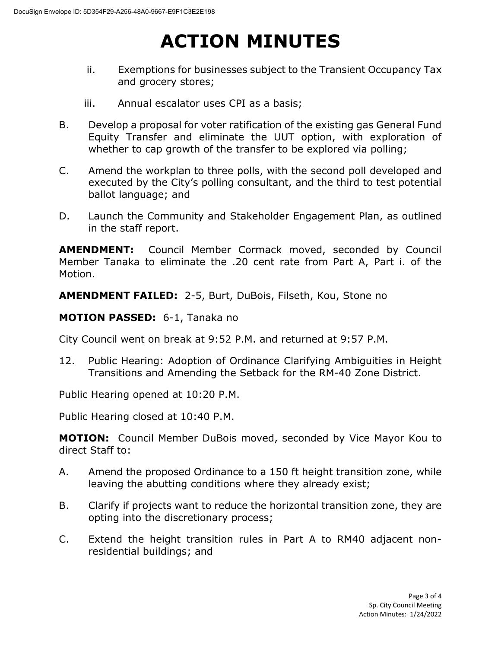# **ACTION MINUTES**

- ii. Exemptions for businesses subject to the Transient Occupancy Tax and grocery stores;
- iii. Annual escalator uses CPI as a basis;
- B. Develop a proposal for voter ratification of the existing gas General Fund Equity Transfer and eliminate the UUT option, with exploration of whether to cap growth of the transfer to be explored via polling;
- C. Amend the workplan to three polls, with the second poll developed and executed by the City's polling consultant, and the third to test potential ballot language; and
- D. Launch the Community and Stakeholder Engagement Plan, as outlined in the staff report.

**AMENDMENT:** Council Member Cormack moved, seconded by Council Member Tanaka to eliminate the .20 cent rate from Part A, Part i. of the Motion.

**AMENDMENT FAILED:** 2-5, Burt, DuBois, Filseth, Kou, Stone no

**MOTION PASSED:** 6-1, Tanaka no

City Council went on break at 9:52 P.M. and returned at 9:57 P.M.

12. Public Hearing: Adoption of Ordinance Clarifying Ambiguities in Height Transitions and Amending the Setback for the RM-40 Zone District.

Public Hearing opened at 10:20 P.M.

Public Hearing closed at 10:40 P.M.

**MOTION:** Council Member DuBois moved, seconded by Vice Mayor Kou to direct Staff to:

- A. Amend the proposed Ordinance to a 150 ft height transition zone, while leaving the abutting conditions where they already exist;
- B. Clarify if projects want to reduce the horizontal transition zone, they are opting into the discretionary process;
- C. Extend the height transition rules in Part A to RM40 adjacent nonresidential buildings; and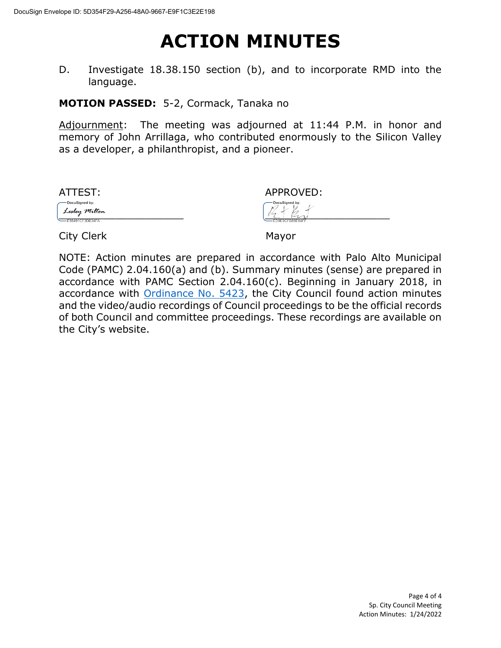# **ACTION MINUTES**

D. Investigate 18.38.150 section (b), and to incorporate RMD into the language.

**MOTION PASSED:** 5-2, Cormack, Tanaka no

Adjournment: The meeting was adjourned at 11:44 P.M. in honor and memory of John Arrillaga, who contributed enormously to the Silicon Valley as a developer, a philanthropist, and a pioneer.

DocuSigned by:

| ATTEST:                                             | APPROVED:                            |
|-----------------------------------------------------|--------------------------------------|
| -DocuSigned by:<br>Lesley Milton<br>--------------- | DocuSigned by:<br>ະ<br>ßL,<br>$\sim$ |

City Clerk Mayor

NOTE: Action minutes are prepared in accordance with Palo Alto Municipal Code (PAMC) 2.04.160(a) and (b). Summary minutes (sense) are prepared in accordance with PAMC Section 2.04.160(c). Beginning in January 2018, in accordance with [Ordinance No. 5423,](https://www.cityofpaloalto.org/files/assets/public/city-clerk/ordinances/ordinances-1909-to-present/ordinances-by-number/ord-5423.pdf) the City Council found action minutes and the video/audio recordings of Council proceedings to be the official records of both Council and committee proceedings. These recordings are available on the City's website.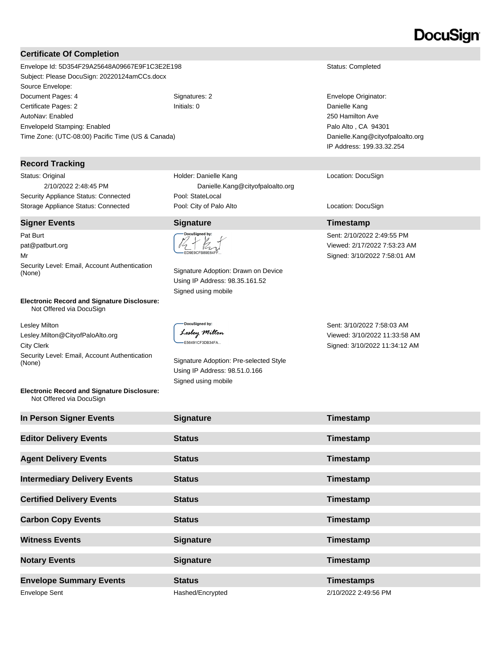#### **Certificate Of Completion**

Envelope Id: 5D354F29A25648A09667E9F1C3E2E198 Status: Completed Subject: Please DocuSign: 20220124amCCs.docx Source Envelope: Document Pages: 4 Signatures: 2 Signatures: 2 Envelope Originator: Certificate Pages: 2 **Initials: 0** Initials: 0 **Danielle Kang** AutoNav: Enabled EnvelopeId Stamping: Enabled Time Zone: (UTC-08:00) Pacific Time (US & Canada)

#### **Record Tracking**

Status: Original 2/10/2022 2:48:45 PM Security Appliance Status: Connected Pool: StateLocal

### **Signer Events Signature CONSISTENTS Signature Timestamp**

Pat Burt pat@patburt.org Mr Security Level: Email, Account Authentication Signature Adoption: Drawn on Device<br>(None) Signature Adoption: Drawn on Device

#### **Electronic Record and Signature Disclosure:**  Not Offered via DocuSign

Lesley Milton Lesley.Milton@CityofPaloAlto.org City Clerk Security Level: Email, Account Authentication<br>(None)

**Electronic Record and Signature Disclosure:**  Not Offered via DocuSign

 Danielle.Kang@cityofpaloalto.org Storage Appliance Status: Connected **Pool: City of Palo Alto** Location: DocuSign Location: DocuSign

Holder: Danielle Kang

Using IP Address: 98.35.161.52 Signed using mobile

DocuSigned by: Lesley Milton -<br>E56491CF3DB34FA...

Signature Adoption: Pre-selected Style Using IP Address: 98.51.0.166 Signed using mobile

250 Hamilton Ave Palo Alto , CA 94301 Danielle.Kang@cityofpaloalto.org IP Address: 199.33.32.254

Location: DocuSign

Sent: 2/10/2022 2:49:55 PM Viewed: 2/17/2022 7:53:23 AM Signed: 3/10/2022 7:58:01 AM

Sent: 3/10/2022 7:58:03 AM Viewed: 3/10/2022 11:33:58 AM Signed: 3/10/2022 11:34:12 AM

| In Person Signer Events             | <b>Signature</b> | Timestamp            |
|-------------------------------------|------------------|----------------------|
| <b>Editor Delivery Events</b>       | <b>Status</b>    | Timestamp            |
| <b>Agent Delivery Events</b>        | <b>Status</b>    | Timestamp            |
| <b>Intermediary Delivery Events</b> | <b>Status</b>    | Timestamp            |
| <b>Certified Delivery Events</b>    | <b>Status</b>    | Timestamp            |
| <b>Carbon Copy Events</b>           | <b>Status</b>    | Timestamp            |
| <b>Witness Events</b>               | <b>Signature</b> | Timestamp            |
| <b>Notary Events</b>                | <b>Signature</b> | Timestamp            |
| <b>Envelope Summary Events</b>      | <b>Status</b>    | <b>Timestamps</b>    |
| <b>Envelope Sent</b>                | Hashed/Encrypted | 2/10/2022 2:49:56 PM |

# DocuSign